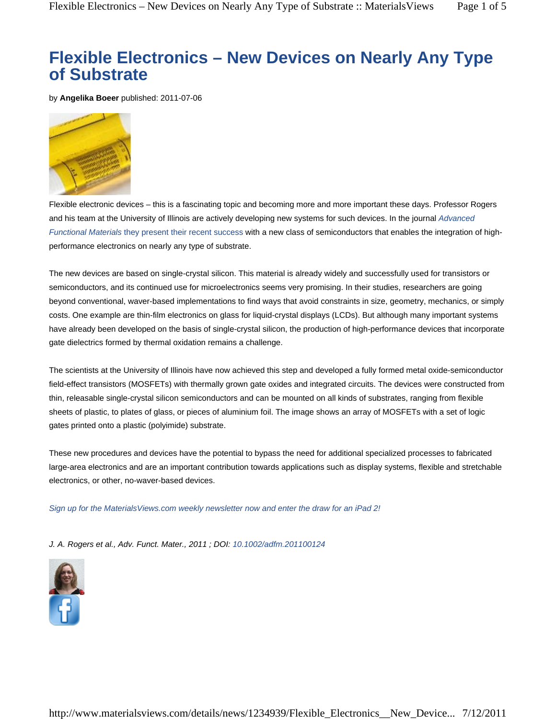# **Flexible Electronics – New Devices on Nearly Any Type of Substrate**

by **Angelika Boeer** published: 2011-07-06



Flexible electronic devices – this is a fascinating topic and becoming more and more important these days. Professor Rogers and his team at the University of Illinois are actively developing new systems for such devices. In the journal *Advanced Functional Materials* they present their recent success with a new class of semiconductors that enables the integration of highperformance electronics on nearly any type of substrate.

The new devices are based on single-crystal silicon. This material is already widely and successfully used for transistors or semiconductors, and its continued use for microelectronics seems very promising. In their studies, researchers are going beyond conventional, waver-based implementations to find ways that avoid constraints in size, geometry, mechanics, or simply costs. One example are thin-film electronics on glass for liquid-crystal displays (LCDs). But although many important systems have already been developed on the basis of single-crystal silicon, the production of high-performance devices that incorporate gate dielectrics formed by thermal oxidation remains a challenge.

The scientists at the University of Illinois have now achieved this step and developed a fully formed metal oxide-semiconductor field-effect transistors (MOSFETs) with thermally grown gate oxides and integrated circuits. The devices were constructed from thin, releasable single-crystal silicon semiconductors and can be mounted on all kinds of substrates, ranging from flexible sheets of plastic, to plates of glass, or pieces of aluminium foil. The image shows an array of MOSFETs with a set of logic gates printed onto a plastic (polyimide) substrate.

These new procedures and devices have the potential to bypass the need for additional specialized processes to fabricated large-area electronics and are an important contribution towards applications such as display systems, flexible and stretchable electronics, or other, no-waver-based devices.

*Sign up for the MaterialsViews.com weekly newsletter now and enter the draw for an iPad 2!*

*J. A. Rogers et al., Adv. Funct. Mater., 2011 ; DOI: 10.1002/adfm.201100124*

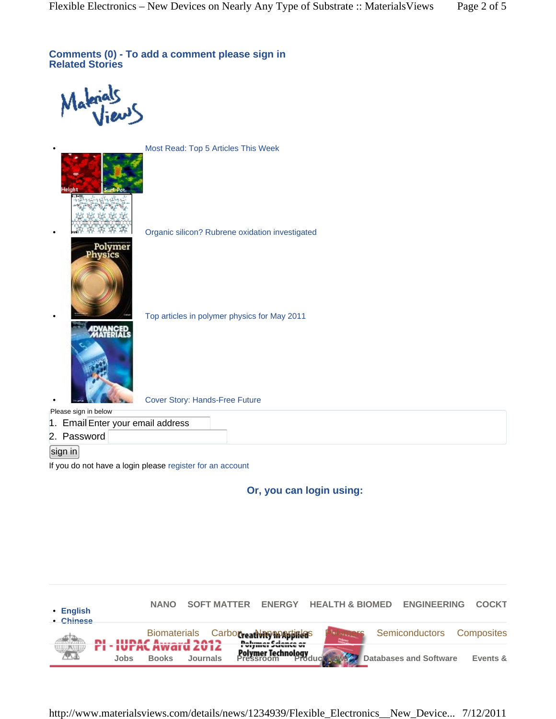**Comments (0) - To add a comment please sign in Related Stories**

• Most Read: Top 5 Articles This Week



• Organic silicon? Rubrene oxidation investigated



• Cover Story: Hands-Free Future

• Top articles in polymer physics for May 2011

Please sign in below

1. EmailEnter your email address

2. Password

### sign in

If you do not have a login please register for an account

**Or, you can login using:**



http://www.materialsviews.com/details/news/1234939/Flexible\_Electronics\_\_New\_Device... 7/12/2011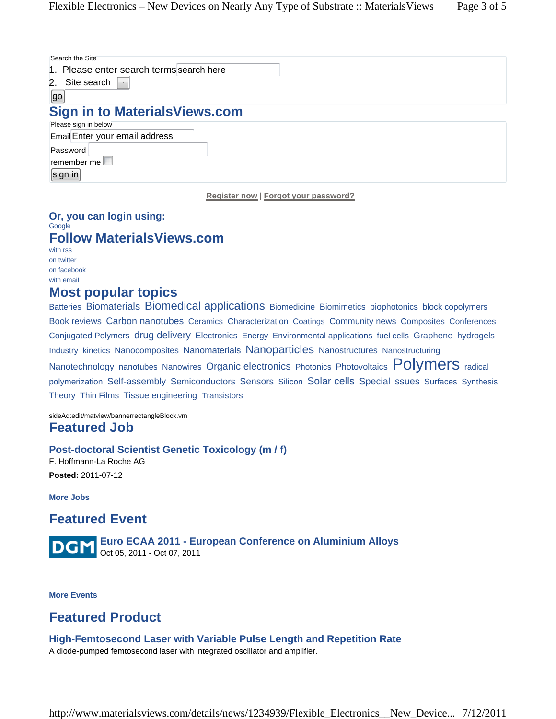| Search the Site                          |  |
|------------------------------------------|--|
| 1. Please enter search terms search here |  |
| 2. I<br>Site search                      |  |
| go                                       |  |
| <b>Sign in to MaterialsViews.com</b>     |  |
| Please sign in below                     |  |
| Email Enter your email address           |  |
| Password                                 |  |
| remember me                              |  |
| $\left[$ sign in $\right]$               |  |
|                                          |  |

**Register now** | **Forgot your password?**

### **Or, you can login using:** Google **Follow MaterialsViews.com** with rss on twitter

on facebook with email

## **Most popular topics**

Batteries Biomaterials Biomedical applications Biomedicine Biomimetics biophotonics block copolymers Book reviews Carbon nanotubes Ceramics Characterization Coatings Community news Composites Conferences Conjugated Polymers drug delivery Electronics Energy Environmental applications fuel cells Graphene hydrogels Industry kinetics Nanocomposites Nanomaterials Nanoparticles Nanostructures Nanostructuring Nanotechnology nanotubes Nanowires Organic electronics Photonics Photovoltaics Polymers radical polymerization Self-assembly Semiconductors Sensors Silicon Solar cells Special issues Surfaces Synthesis Theory Thin Films Tissue engineering Transistors

sideAd:edit/matview/bannerrectangleBlock.vm **Featured Job**

### **Post-doctoral Scientist Genetic Toxicology (m / f)**

F. Hoffmann-La Roche AG **Posted:** 2011-07-12

**More Jobs**

# **Featured Event**

**Euro ECAA 2011 - European Conference on Aluminium Alloys DGM** Oct 05, 2011 - Oct 07, 2011

**More Events**

# **Featured Product**

### **High-Femtosecond Laser with Variable Pulse Length and Repetition Rate**

A diode-pumped femtosecond laser with integrated oscillator and amplifier.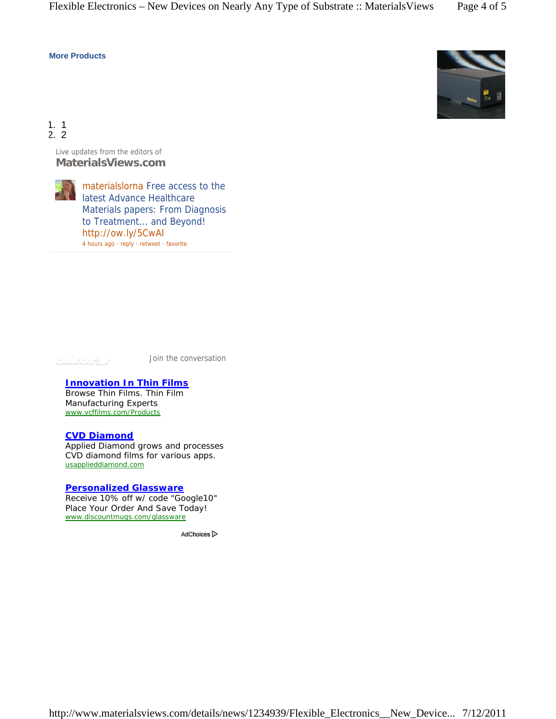### **More Products**



1. 1 2. 2

> Live updates from the editors of **MaterialsViews.com**



materialslorna Free access to the latest Advance Healthcare Materials papers: From Diagnosis to Treatment... and Beyond! http://ow.ly/5CwAI 4 hours ago · reply · retweet · favorite



Join the conversation

#### **Innovation In Thin Films**

Browse Thin Films. Thin Film Manufacturing Experts www.vcffilms.com/Products

### **CVD Diamond**

Applied Diamond grows and processes CVD diamond films for various apps. usapplieddiamond.com

#### **Personalized Glassware**

Receive 10% off w/ code "Google10" Place Your Order And Save Today! www.discountmugs.com/glassware

AdChoices<sup>[></sup>